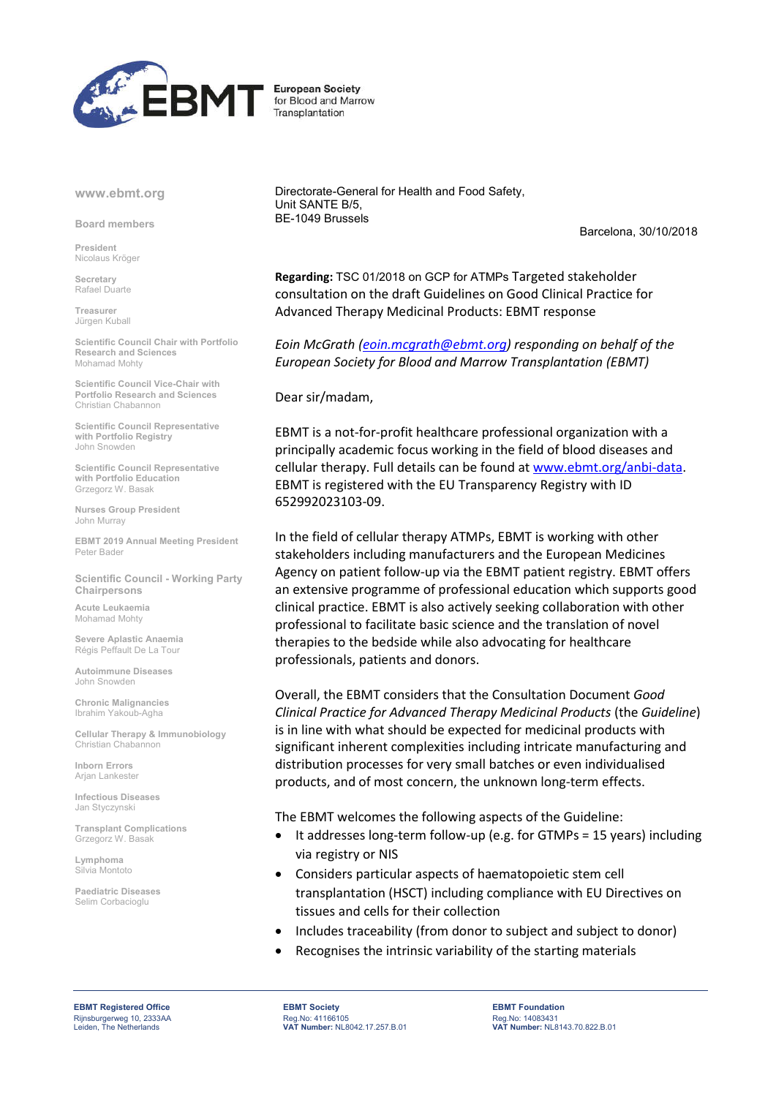

## **European Society** for Blood and Marrow Transplantation

## www.ebmt.org

Board members

President Nicolaus Kröger

Secretary Rafael Duarte

Treasurer Jürgen Kuball

Scientific Council Chair with Portfolio Research and Sciences Mohamad Mohty

Scientific Council Vice-Chair with Portfolio Research and Sciences Christian Chabannon

Scientific Council Representative with Portfolio Registry John Snowden

Scientific Council Representative with Portfolio Education Grzegorz W. Basak

Nurses Group President John Murray

EBMT 2019 Annual Meeting President Peter Bader

Scientific Council - Working Party Chairpersons

Acute Leukaemia Mohamad Mohty

Severe Aplastic Anaemia Régis Peffault De La Tour

Autoimmune Diseases John Snowden

Chronic Malignancies Ibrahim Yakoub-Agha

Cellular Therapy & Immunobiology Christian Chabannon

Inborn Errors Arian Lankester

Infectious Diseases Jan Styczynski

Transplant Complications Grzegorz W. Basak

Lymphoma Silvia Montoto

Paediatric Diseases Selim Corbacioglu

Directorate-General for Health and Food Safety, Unit SANTE B/5, BE-1049 Brussels

Barcelona, 30/10/2018

**Regarding:** TSC 01/2018 on GCP for ATMPs Targeted stakeholder consultation on the draft Guidelines on Good Clinical Practice for Advanced Therapy Medicinal Products: EBMT response

*Eoin McGrath (eoin.mcgrath@ebmt.org) responding on behalf of the European Society for Blood and Marrow Transplantation (EBMT)*

Dear sir/madam,

EBMT is a not-for-profit healthcare professional organization with a principally academic focus working in the field of blood diseases and cellular therapy. Full details can be found at www.ebmt.org/anbi-data. EBMT is registered with the EU Transparency Registry with ID 652992023103-09.

In the field of cellular therapy ATMPs, EBMT is working with other stakeholders including manufacturers and the European Medicines Agency on patient follow-up via the EBMT patient registry. EBMT offers an extensive programme of professional education which supports good clinical practice. EBMT is also actively seeking collaboration with other professional to facilitate basic science and the translation of novel therapies to the bedside while also advocating for healthcare professionals, patients and donors.

Overall, the EBMT considers that the Consultation Document *Good Clinical Practice for Advanced Therapy Medicinal Products* (the *Guideline*) is in line with what should be expected for medicinal products with significant inherent complexities including intricate manufacturing and distribution processes for very small batches or even individualised products, and of most concern, the unknown long-term effects.

The EBMT welcomes the following aspects of the Guideline:

- It addresses long-term follow-up (e.g. for GTMPs = 15 years) including via registry or NIS
- Considers particular aspects of haematopoietic stem cell transplantation (HSCT) including compliance with EU Directives on tissues and cells for their collection
- Includes traceability (from donor to subject and subject to donor)
- Recognises the intrinsic variability of the starting materials

Rijnsburgerweg 10, 2333AA<br>Leiden, The Netherlands

EBMT Registered Office EBMT Society EBMT Foundation Reg.No: 41166105<br>VAT Number: NL8042.17.257.B.01

Reg.No: 14083431 VAT Number: NL8143.70.822.B.01